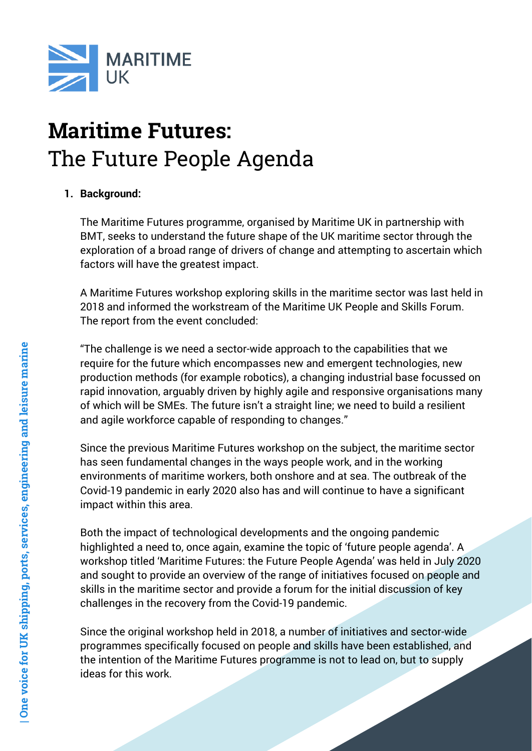

# Maritime Futures: The Future People Agenda

# **1. Background:**

The Maritime Futures programme, organised by Maritime UK in partnership with BMT, seeks to understand the future shape of the UK maritime sector through the exploration of a broad range of drivers of change and attempting to ascertain which factors will have the greatest impact.

A Maritime Futures workshop exploring skills in the maritime sector was last held in 2018 and informed the workstream of the Maritime UK People and Skills Forum. The report from the event concluded:

"The challenge is we need a sector-wide approach to the capabilities that we require for the future which encompasses new and emergent technologies, new production methods (for example robotics), a changing industrial base focussed on rapid innovation, arguably driven by highly agile and responsive organisations many of which will be SMEs. The future isn't a straight line; we need to build a resilient and agile workforce capable of responding to changes."

Since the previous Maritime Futures workshop on the subject, the maritime sector has seen fundamental changes in the ways people work, and in the working environments of maritime workers, both onshore and at sea. The outbreak of the Covid-19 pandemic in early 2020 also has and will continue to have a significant impact within this area.

Both the impact of technological developments and the ongoing pandemic highlighted a need to, once again, examine the topic of 'future people agenda'. A workshop titled 'Maritime Futures: the Future People Agenda' was held in July 2020 and sought to provide an overview of the range of initiatives focused on people and skills in the maritime sector and provide a forum for the initial discussion of key challenges in the recovery from the Covid-19 pandemic.

Since the original workshop held in 2018, a number of initiatives and sector-wide programmes specifically focused on people and skills have been established, and the intention of the Maritime Futures programme is not to lead on, but to supply ideas for this work.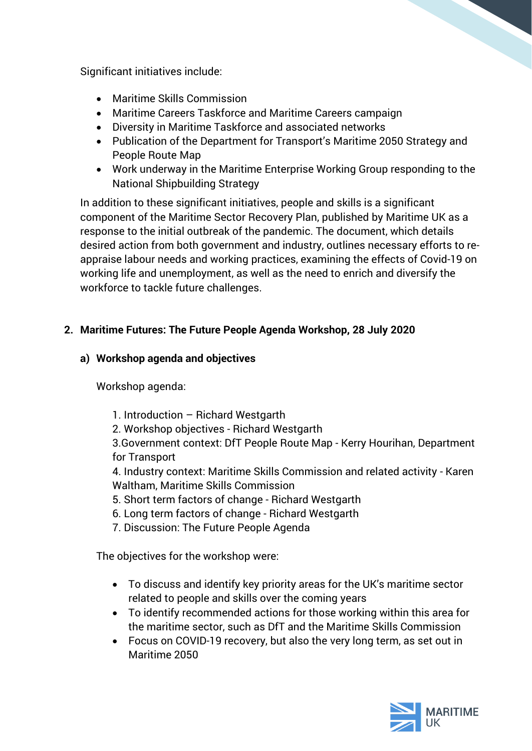Significant initiatives include:

- Maritime Skills Commission
- Maritime Careers Taskforce and Maritime Careers campaign
- Diversity in Maritime Taskforce and associated networks
- Publication of the Department for Transport's Maritime 2050 Strategy and People Route Map
- Work underway in the Maritime Enterprise Working Group responding to the National Shipbuilding Strategy

In addition to these significant initiatives, people and skills is a significant component of the Maritime Sector Recovery Plan, published by Maritime UK as a response to the initial outbreak of the pandemic. The document, which details desired action from both government and industry, outlines necessary efforts to reappraise labour needs and working practices, examining the effects of Covid-19 on working life and unemployment, as well as the need to enrich and diversify the workforce to tackle future challenges.

## **2. Maritime Futures: The Future People Agenda Workshop, 28 July 2020**

## **a) Workshop agenda and objectives**

Workshop agenda:

- 1. Introduction Richard Westgarth
- 2. Workshop objectives Richard Westgarth

3.Government context: DfT People Route Map - Kerry Hourihan, Department for Transport

4. Industry context: Maritime Skills Commission and related activity - Karen Waltham, Maritime Skills Commission

- 5. Short term factors of change Richard Westgarth
- 6. Long term factors of change Richard Westgarth
- 7. Discussion: The Future People Agenda

The objectives for the workshop were:

- To discuss and identify key priority areas for the UK's maritime sector related to people and skills over the coming years
- To identify recommended actions for those working within this area for the maritime sector, such as DfT and the Maritime Skills Commission
- Focus on COVID-19 recovery, but also the very long term, as set out in Maritime 2050

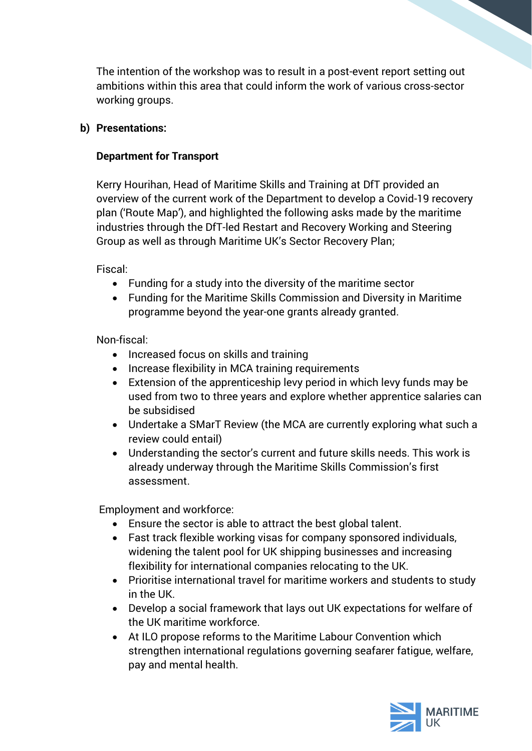The intention of the workshop was to result in a post-event report setting out ambitions within this area that could inform the work of various cross-sector working groups.

## **b) Presentations:**

## **Department for Transport**

Kerry Hourihan, Head of Maritime Skills and Training at DfT provided an overview of the current work of the Department to develop a Covid-19 recovery plan ('Route Map'), and highlighted the following asks made by the maritime industries through the DfT-led Restart and Recovery Working and Steering Group as well as through Maritime UK's Sector Recovery Plan;

Fiscal:

- Funding for a study into the diversity of the maritime sector
- Funding for the Maritime Skills Commission and Diversity in Maritime programme beyond the year-one grants already granted.

Non-fiscal:

- Increased focus on skills and training
- Increase flexibility in MCA training requirements
- Extension of the apprenticeship levy period in which levy funds may be used from two to three years and explore whether apprentice salaries can be subsidised
- Undertake a SMarT Review (the MCA are currently exploring what such a review could entail)
- Understanding the sector's current and future skills needs. This work is already underway through the Maritime Skills Commission's first assessment.

Employment and workforce:

- Ensure the sector is able to attract the best global talent.
- Fast track flexible working visas for company sponsored individuals, widening the talent pool for UK shipping businesses and increasing flexibility for international companies relocating to the UK.
- Prioritise international travel for maritime workers and students to study in the UK.
- Develop a social framework that lays out UK expectations for welfare of the UK maritime workforce.
- At ILO propose reforms to the Maritime Labour Convention which strengthen international regulations governing seafarer fatigue, welfare, pay and mental health.

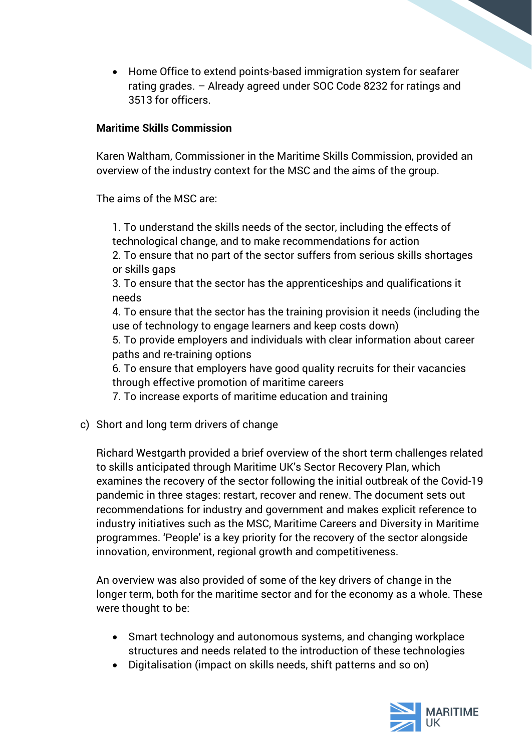• Home Office to extend points-based immigration system for seafarer rating grades. – Already agreed under SOC Code 8232 for ratings and 3513 for officers.

## **Maritime Skills Commission**

Karen Waltham, Commissioner in the Maritime Skills Commission, provided an overview of the industry context for the MSC and the aims of the group.

The aims of the MSC are:

1. To understand the skills needs of the sector, including the effects of technological change, and to make recommendations for action

2. To ensure that no part of the sector suffers from serious skills shortages or skills gaps

3. To ensure that the sector has the apprenticeships and qualifications it needs

4. To ensure that the sector has the training provision it needs (including the use of technology to engage learners and keep costs down)

5. To provide employers and individuals with clear information about career paths and re-training options

6. To ensure that employers have good quality recruits for their vacancies through effective promotion of maritime careers

7. To increase exports of maritime education and training

c) Short and long term drivers of change

Richard Westgarth provided a brief overview of the short term challenges related to skills anticipated through Maritime UK's Sector Recovery Plan, which examines the recovery of the sector following the initial outbreak of the Covid-19 pandemic in three stages: restart, recover and renew. The document sets out recommendations for industry and government and makes explicit reference to industry initiatives such as the MSC, Maritime Careers and Diversity in Maritime programmes. 'People' is a key priority for the recovery of the sector alongside innovation, environment, regional growth and competitiveness.

An overview was also provided of some of the key drivers of change in the longer term, both for the maritime sector and for the economy as a whole. These were thought to be:

- Smart technology and autonomous systems, and changing workplace structures and needs related to the introduction of these technologies
- Digitalisation (impact on skills needs, shift patterns and so on)

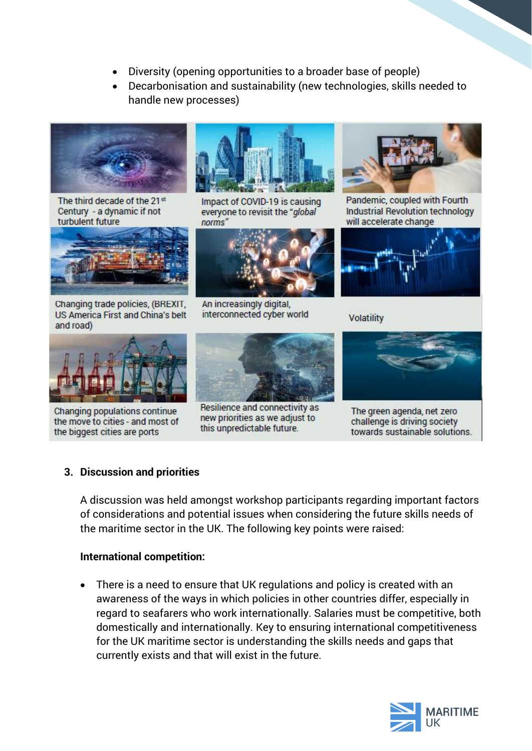- Diversity (opening opportunities to a broader base of people)
- Decarbonisation and sustainability (new technologies, skills needed to handle new processes)



The third decade of the 21st Century - a dynamic if not turbulent future



Changing trade policies, (BREXIT, **US America First and China's belt** and road)



Changing populations continue the move to cities - and most of the biggest cities are ports



Impact of COVID-19 is causing everyone to revisit the "global" norms'



An increasingly digital, interconnected cyber world



Resilience and connectivity as new priorities as we adjust to this unpredictable future.



Pandemic, coupled with Fourth Industrial Revolution technology will accelerate change



Volatility



The green agenda, net zero challenge is driving society towards sustainable solutions.

#### **3. Discussion and priorities**

A discussion was held amongst workshop participants regarding important factors of considerations and potential issues when considering the future skills needs of the maritime sector in the UK. The following key points were raised:

#### **International competition:**

• There is a need to ensure that UK regulations and policy is created with an awareness of the ways in which policies in other countries differ, especially in regard to seafarers who work internationally. Salaries must be competitive, both domestically and internationally. Key to ensuring international competitiveness for the UK maritime sector is understanding the skills needs and gaps that currently exists and that will exist in the future.

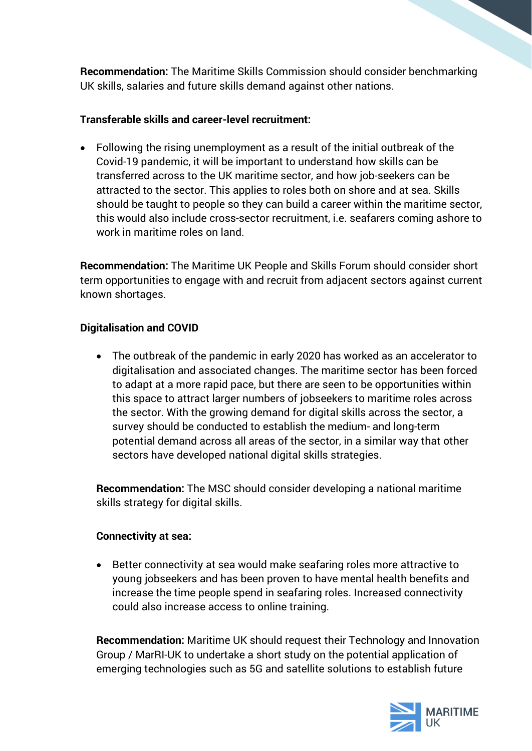**Recommendation:** The Maritime Skills Commission should consider benchmarking UK skills, salaries and future skills demand against other nations.

## **Transferable skills and career-level recruitment:**

• Following the rising unemployment as a result of the initial outbreak of the Covid-19 pandemic, it will be important to understand how skills can be transferred across to the UK maritime sector, and how job-seekers can be attracted to the sector. This applies to roles both on shore and at sea. Skills should be taught to people so they can build a career within the maritime sector, this would also include cross-sector recruitment, i.e. seafarers coming ashore to work in maritime roles on land.

**Recommendation:** The Maritime UK People and Skills Forum should consider short term opportunities to engage with and recruit from adjacent sectors against current known shortages.

#### **Digitalisation and COVID**

• The outbreak of the pandemic in early 2020 has worked as an accelerator to digitalisation and associated changes. The maritime sector has been forced to adapt at a more rapid pace, but there are seen to be opportunities within this space to attract larger numbers of jobseekers to maritime roles across the sector. With the growing demand for digital skills across the sector, a survey should be conducted to establish the medium- and long-term potential demand across all areas of the sector, in a similar way that other sectors have developed national digital skills strategies.

**Recommendation:** The MSC should consider developing a national maritime skills strategy for digital skills.

#### **Connectivity at sea:**

• Better connectivity at sea would make seafaring roles more attractive to young jobseekers and has been proven to have mental health benefits and increase the time people spend in seafaring roles. Increased connectivity could also increase access to online training.

**Recommendation:** Maritime UK should request their Technology and Innovation Group / MarRI-UK to undertake a short study on the potential application of emerging technologies such as 5G and satellite solutions to establish future

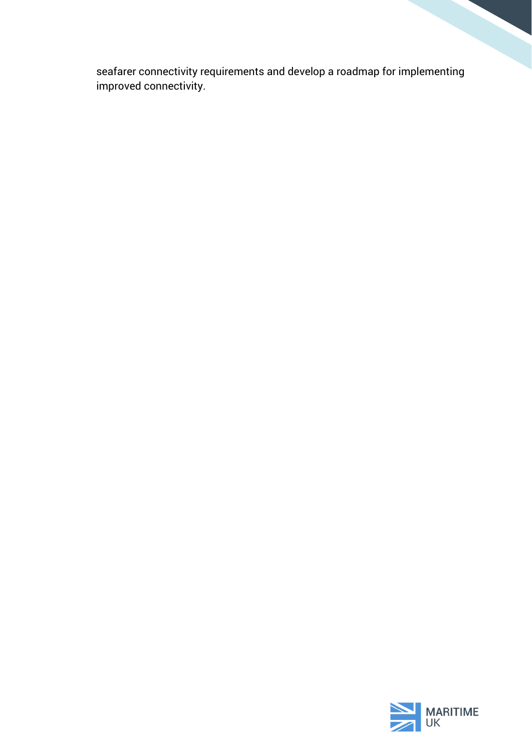seafarer connectivity requirements and develop a roadmap for implementing improved connectivity.